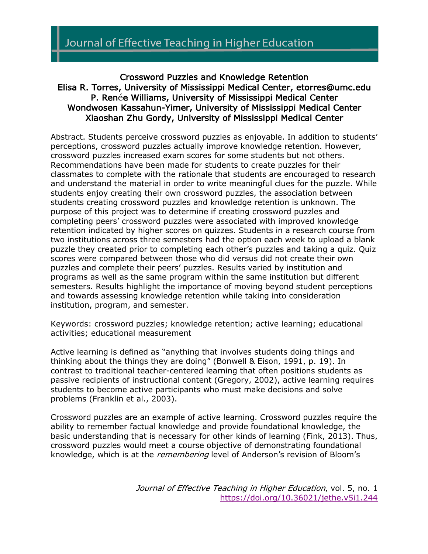## Crossword Puzzles and Knowledge Retention Elisa R. Torres, University of Mississippi Medical Center, etorres@umc.edu P. Renée Williams, University of Mississippi Medical Center Wondwosen Kassahun-Yimer, University of Mississippi Medical Center Xiaoshan Zhu Gordy, University of Mississippi Medical Center

Abstract. Students perceive crossword puzzles as enjoyable. In addition to students' perceptions, crossword puzzles actually improve knowledge retention. However, crossword puzzles increased exam scores for some students but not others. Recommendations have been made for students to create puzzles for their classmates to complete with the rationale that students are encouraged to research and understand the material in order to write meaningful clues for the puzzle. While students enjoy creating their own crossword puzzles, the association between students creating crossword puzzles and knowledge retention is unknown. The purpose of this project was to determine if creating crossword puzzles and completing peers' crossword puzzles were associated with improved knowledge retention indicated by higher scores on quizzes. Students in a research course from two institutions across three semesters had the option each week to upload a blank puzzle they created prior to completing each other's puzzles and taking a quiz. Quiz scores were compared between those who did versus did not create their own puzzles and complete their peers' puzzles. Results varied by institution and programs as well as the same program within the same institution but different semesters. Results highlight the importance of moving beyond student perceptions and towards assessing knowledge retention while taking into consideration institution, program, and semester.

Keywords: crossword puzzles; knowledge retention; active learning; educational activities; educational measurement

Active learning is defined as "anything that involves students doing things and thinking about the things they are doing" (Bonwell & Eison, 1991, p. 19). In contrast to traditional teacher-centered learning that often positions students as passive recipients of instructional content (Gregory, 2002), active learning requires students to become active participants who must make decisions and solve problems (Franklin et al., 2003).

Crossword puzzles are an example of active learning. Crossword puzzles require the ability to remember factual knowledge and provide foundational knowledge, the basic understanding that is necessary for other kinds of learning (Fink, 2013). Thus, crossword puzzles would meet a course objective of demonstrating foundational knowledge, which is at the *remembering* level of Anderson's revision of Bloom's

> Journal of Effective Teaching in Higher Education, vol. 5, no. 1 https://doi.org/10.36021/jethe.v5i1.244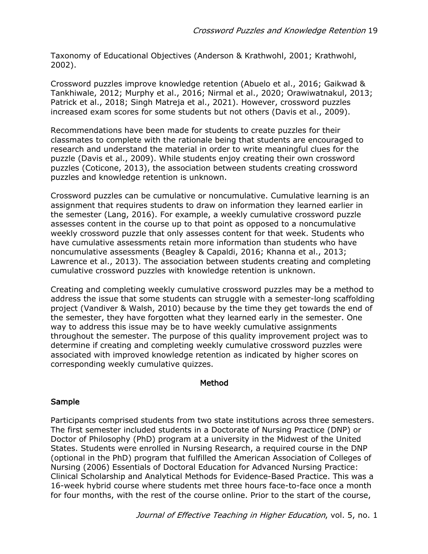Taxonomy of Educational Objectives (Anderson & Krathwohl, 2001; Krathwohl, 2002).

Crossword puzzles improve knowledge retention (Abuelo et al., 2016; Gaikwad & Tankhiwale, 2012; Murphy et al., 2016; Nirmal et al., 2020; Orawiwatnakul, 2013; Patrick et al., 2018; Singh Matreja et al., 2021). However, crossword puzzles increased exam scores for some students but not others (Davis et al., 2009).

Recommendations have been made for students to create puzzles for their classmates to complete with the rationale being that students are encouraged to research and understand the material in order to write meaningful clues for the puzzle (Davis et al., 2009). While students enjoy creating their own crossword puzzles (Coticone, 2013), the association between students creating crossword puzzles and knowledge retention is unknown.

Crossword puzzles can be cumulative or noncumulative. Cumulative learning is an assignment that requires students to draw on information they learned earlier in the semester (Lang, 2016). For example, a weekly cumulative crossword puzzle assesses content in the course up to that point as opposed to a noncumulative weekly crossword puzzle that only assesses content for that week. Students who have cumulative assessments retain more information than students who have noncumulative assessments (Beagley & Capaldi, 2016; Khanna et al., 2013; Lawrence et al., 2013). The association between students creating and completing cumulative crossword puzzles with knowledge retention is unknown.

Creating and completing weekly cumulative crossword puzzles may be a method to address the issue that some students can struggle with a semester-long scaffolding project (Vandiver & Walsh, 2010) because by the time they get towards the end of the semester, they have forgotten what they learned early in the semester. One way to address this issue may be to have weekly cumulative assignments throughout the semester. The purpose of this quality improvement project was to determine if creating and completing weekly cumulative crossword puzzles were associated with improved knowledge retention as indicated by higher scores on corresponding weekly cumulative quizzes.

#### Method

#### Sample

Participants comprised students from two state institutions across three semesters. The first semester included students in a Doctorate of Nursing Practice (DNP) or Doctor of Philosophy (PhD) program at a university in the Midwest of the United States. Students were enrolled in Nursing Research, a required course in the DNP (optional in the PhD) program that fulfilled the American Association of Colleges of Nursing (2006) Essentials of Doctoral Education for Advanced Nursing Practice: Clinical Scholarship and Analytical Methods for Evidence-Based Practice. This was a 16-week hybrid course where students met three hours face-to-face once a month for four months, with the rest of the course online. Prior to the start of the course,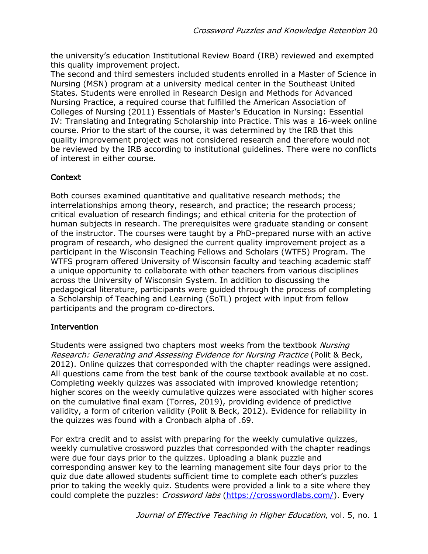the university's education Institutional Review Board (IRB) reviewed and exempted this quality improvement project.

The second and third semesters included students enrolled in a Master of Science in Nursing (MSN) program at a university medical center in the Southeast United States. Students were enrolled in Research Design and Methods for Advanced Nursing Practice, a required course that fulfilled the American Association of Colleges of Nursing (2011) Essentials of Master's Education in Nursing: Essential IV: Translating and Integrating Scholarship into Practice. This was a 16-week online course. Prior to the start of the course, it was determined by the IRB that this quality improvement project was not considered research and therefore would not be reviewed by the IRB according to institutional guidelines. There were no conflicts of interest in either course.

# Context

Both courses examined quantitative and qualitative research methods; the interrelationships among theory, research, and practice; the research process; critical evaluation of research findings; and ethical criteria for the protection of human subjects in research. The prerequisites were graduate standing or consent of the instructor. The courses were taught by a PhD-prepared nurse with an active program of research, who designed the current quality improvement project as a participant in the Wisconsin Teaching Fellows and Scholars (WTFS) Program. The WTFS program offered University of Wisconsin faculty and teaching academic staff a unique opportunity to collaborate with other teachers from various disciplines across the University of Wisconsin System. In addition to discussing the pedagogical literature, participants were guided through the process of completing a Scholarship of Teaching and Learning (SoTL) project with input from fellow participants and the program co-directors.

## Intervention

Students were assigned two chapters most weeks from the textbook Nursing Research: Generating and Assessing Evidence for Nursing Practice (Polit & Beck, 2012). Online quizzes that corresponded with the chapter readings were assigned. All questions came from the test bank of the course textbook available at no cost. Completing weekly quizzes was associated with improved knowledge retention; higher scores on the weekly cumulative quizzes were associated with higher scores on the cumulative final exam (Torres, 2019), providing evidence of predictive validity, a form of criterion validity (Polit & Beck, 2012). Evidence for reliability in the quizzes was found with a Cronbach alpha of .69.

For extra credit and to assist with preparing for the weekly cumulative quizzes, weekly cumulative crossword puzzles that corresponded with the chapter readings were due four days prior to the quizzes. Uploading a blank puzzle and corresponding answer key to the learning management site four days prior to the quiz due date allowed students sufficient time to complete each other's puzzles prior to taking the weekly quiz. Students were provided a link to a site where they could complete the puzzles: *Crossword labs* (https://crosswordlabs.com/). Every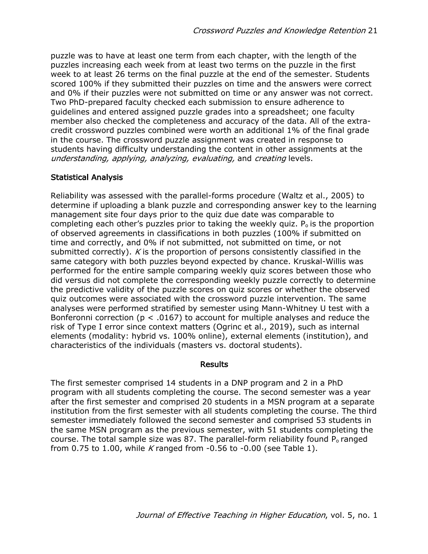puzzle was to have at least one term from each chapter, with the length of the puzzles increasing each week from at least two terms on the puzzle in the first week to at least 26 terms on the final puzzle at the end of the semester. Students scored 100% if they submitted their puzzles on time and the answers were correct and 0% if their puzzles were not submitted on time or any answer was not correct. Two PhD-prepared faculty checked each submission to ensure adherence to guidelines and entered assigned puzzle grades into a spreadsheet; one faculty member also checked the completeness and accuracy of the data. All of the extracredit crossword puzzles combined were worth an additional 1% of the final grade in the course. The crossword puzzle assignment was created in response to students having difficulty understanding the content in other assignments at the understanding, applying, analyzing, evaluating, and creating levels.

## Statistical Analysis

Reliability was assessed with the parallel-forms procedure (Waltz et al., 2005) to determine if uploading a blank puzzle and corresponding answer key to the learning management site four days prior to the quiz due date was comparable to completing each other's puzzles prior to taking the weekly quiz.  $P_0$  is the proportion of observed agreements in classifications in both puzzles (100% if submitted on time and correctly, and 0% if not submitted, not submitted on time, or not submitted correctly). K is the proportion of persons consistently classified in the same category with both puzzles beyond expected by chance. Kruskal-Willis was performed for the entire sample comparing weekly quiz scores between those who did versus did not complete the corresponding weekly puzzle correctly to determine the predictive validity of the puzzle scores on quiz scores or whether the observed quiz outcomes were associated with the crossword puzzle intervention. The same analyses were performed stratified by semester using Mann-Whitney U test with a Bonferonni correction ( $p < .0167$ ) to account for multiple analyses and reduce the risk of Type I error since context matters (Ogrinc et al., 2019), such as internal elements (modality: hybrid vs. 100% online), external elements (institution), and characteristics of the individuals (masters vs. doctoral students).

## **Results**

The first semester comprised 14 students in a DNP program and 2 in a PhD program with all students completing the course. The second semester was a year after the first semester and comprised 20 students in a MSN program at a separate institution from the first semester with all students completing the course. The third semester immediately followed the second semester and comprised 53 students in the same MSN program as the previous semester, with 51 students completing the course. The total sample size was 87. The parallel-form reliability found  $P<sub>o</sub>$  ranged from 0.75 to 1.00, while K ranged from  $-0.56$  to  $-0.00$  (see Table 1).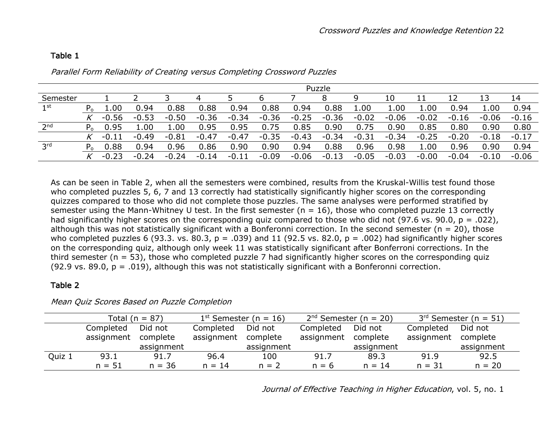|                 |         | Puzzle      |         |         |         |         |         |         |         |         |         |         |         |         |         |
|-----------------|---------|-------------|---------|---------|---------|---------|---------|---------|---------|---------|---------|---------|---------|---------|---------|
| Semester        |         |             |         |         | 4       |         | b       |         |         | q       | 10      |         |         |         | 14      |
| 1st             | $P_{0}$ | 1.00        | 0.94    | 0.88    | 0.88    | 0.94    | 0.88    | 0.94    | 0.88    | 1.00    | 1.00    | 1.00    | 0.94    | 1.00    | 0.94    |
|                 |         | $-0.56$     | $-0.53$ | $-0.50$ | $-0.36$ | $-0.34$ | $-0.36$ | $-0.25$ | $-0.36$ | $-0.02$ | $-0.06$ | $-0.02$ | $-0.16$ | $-0.06$ | $-0.16$ |
| 2 <sup>nd</sup> | $P_{0}$ | .95         | 1.00    | 1.00    | 0.95    | 0.95    | 0.75    | 0.85    | 0.90    | 0.75    | 0.90    | 0.85    | 0.80    | 0.90    | 0.80    |
|                 |         | $-0.$<br>11 | $-0.49$ | $-0.81$ | $-0.47$ | $-0.47$ | $-0.35$ | $-0.43$ | $-0.34$ | $-0.31$ | $-0.34$ | $-0.25$ | $-0.20$ | $-0.18$ | $-0.17$ |
| 3 <sup>rd</sup> | $P_{0}$ | 0.88        | 0.94    | 0.96    | 0.86    | 0.90    | 0.90    | 0.94    | 0.88    | 0.96    | 0.98    | 1.00    | 0.96    | 0.90    | 0.94    |
|                 |         | $-0.23$     | $-0.24$ | $-0.24$ | $-0.14$ | $-0.11$ | $-0.09$ | $-0.06$ | $-0.13$ | $-0.05$ | $-0.03$ | $-0.00$ | $-0.04$ | $-0.10$ | $-0.06$ |

#### Parallel Form Reliability of Creating versus Completing Crossword Puzzles

As can be seen in Table 2, when all the semesters were combined, results from the Kruskal-Willis test found those who completed puzzles 5, 6, 7 and 13 correctly had statistically significantly higher scores on the corresponding quizzes compared to those who did not complete those puzzles. The same analyses were performed stratified by semester using the Mann-Whitney U test. In the first semester ( $n = 16$ ), those who completed puzzle 13 correctly had significantly higher scores on the corresponding quiz compared to those who did not (97.6 vs. 90.0,  $p = .022$ ), although this was not statistically significant with a Bonferonni correction. In the second semester ( $n = 20$ ), those who completed puzzles 6 (93.3. vs. 80.3, p = .039) and 11 (92.5 vs. 82.0, p = .002) had significantly higher scores on the corresponding quiz, although only week 11 was statistically significant after Bonferroni corrections. In the third semester (n = 53), those who completed puzzle 7 had significantly higher scores on the corresponding quiz (92.9 vs. 89.0,  $p = .019$ ), although this was not statistically significant with a Bonferonni correction.

### Table 2

Table 1

|        |            | Total ( $n = 87$ ) |            | $1st$ Semester (n = 16) |            | $2nd$ Semester (n = 20) | $3rd$ Semester (n = 51) |            |  |
|--------|------------|--------------------|------------|-------------------------|------------|-------------------------|-------------------------|------------|--|
|        | Completed  | Did not            | Completed  | Did not                 | Completed  | Did not                 | Completed               | Did not    |  |
|        | assignment | complete           | assignment | complete                | assignment | complete                | assignment              | complete   |  |
|        |            | assignment         |            | assignment              |            | assignment              |                         | assignment |  |
| Quiz 1 | 93.1       | 91.7               | 96.4       | 100                     | 91.7       | 89.3                    | 91.9                    | 92.5       |  |
|        | $n = 51$   | $n = 36$           | $n = 14$   | $n = 2$                 | $n = 6$    | $n = 14$                | $n = 31$                | $n = 20$   |  |

#### Mean Quiz Scores Based on Puzzle Completion

Journal of Effective Teaching in Higher Education, vol. 5, no. 1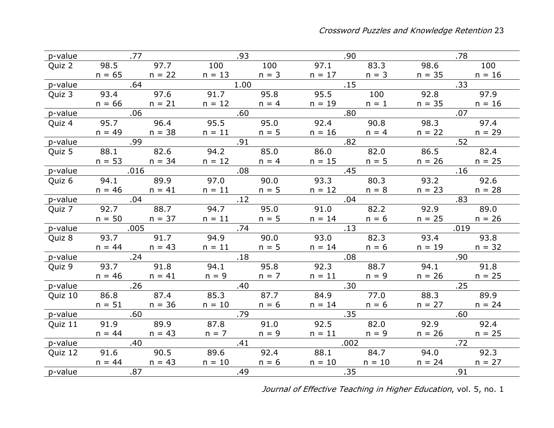|         | p-value 577       |                   | .93                                                                    |                  | .90                               |                  | .78               |           |  |
|---------|-------------------|-------------------|------------------------------------------------------------------------|------------------|-----------------------------------|------------------|-------------------|-----------|--|
|         |                   |                   | Quiz 2 98.5 97.7 100 100 97.1                                          |                  |                                   |                  | 83.3 98.6         | 100       |  |
|         |                   |                   | $n = 65$ $n = 22$ $n = 13$ $n = 3$ $n = 17$ $n = 3$ $n = 35$ $n = 16$  |                  |                                   |                  |                   |           |  |
| p-value | $\sim$ 64         |                   | $\frac{1.00}{\sqrt{1.00}}$                                             |                  |                                   | $\overline{.15}$ |                   | $.33 -$   |  |
| Quiz 3  |                   |                   | 93.4 97.6 91.7                                                         |                  | 95.8 95.5 100 92.8 97.9           |                  |                   |           |  |
|         |                   |                   | $n = 66$ $n = 21$ $n = 12$ $n = 4$ $n = 19$ $n = 1$ $n = 35$ $n = 16$  |                  |                                   |                  |                   |           |  |
| p-value | $.06$ . $.60$     |                   |                                                                        |                  | $\sim$ .80                        |                  | .07               |           |  |
| Quiz 4  |                   |                   | 95.7 96.4 95.5                                                         |                  | 95.0 92.4                         | 90.8             |                   | 98.3 97.4 |  |
|         |                   |                   | $n = 49$ $n = 38$ $n = 11$ $n = 5$ $n = 16$ $n = 4$ $n = 22$ $n = 29$  |                  |                                   |                  |                   |           |  |
| p-value |                   |                   |                                                                        | .91              |                                   | .82              |                   | .52       |  |
| Quiz 5  |                   |                   | 88.1 82.6 94.2 85.0 86.0                                               |                  |                                   | 82.0             | 86.5 82.4         |           |  |
|         |                   |                   | $n = 53$ $n = 34$ $n = 12$ $n = 4$                                     |                  |                                   | $n = 15$ $n = 5$ | $n = 26$ $n = 25$ |           |  |
| p-value | .016              |                   | .08                                                                    |                  | .45                               |                  | .16               |           |  |
| Quiz 6  |                   |                   | 94.1 89.9 97.0 90.0 93.3                                               |                  |                                   |                  | 80.3 93.2 92.6    |           |  |
|         |                   |                   | $n = 46$ $n = 41$ $n = 11$ $n = 5$ $n = 12$ $n = 8$                    |                  |                                   |                  | $n = 23$ $n = 28$ |           |  |
| p-value | .04               |                   | .12                                                                    |                  | $.04\,$                           |                  | .83               |           |  |
|         |                   |                   | Quiz 7 92.7 88.7 94.7 95.0 91.0                                        |                  |                                   |                  | 82.2 92.9 89.0    |           |  |
|         |                   |                   | $n = 50$ $n = 37$ $n = 11$ $n = 5$ $n = 14$ $n = 6$                    |                  |                                   |                  | $n = 25$ $n = 26$ |           |  |
| p-value | .005              |                   | .74                                                                    |                  |                                   | $\overline{13}$  |                   | .019      |  |
| Quiz 8  |                   | 93.7 91.7         | 94.9                                                                   | 90.0             |                                   | 93.0 82.3        |                   | 93.4 93.8 |  |
|         | $n = 44$ $n = 43$ |                   |                                                                        |                  | $n = 11$ $n = 5$ $n = 14$ $n = 6$ |                  | $n = 19$ $n = 32$ |           |  |
| p-value | $\overline{24}$   |                   | .18                                                                    |                  | $\sim$ 08                         |                  |                   |           |  |
| Quiz 9  |                   | 93.7 91.8         |                                                                        |                  | 94.1 95.8 92.3 88.7               |                  | 94.1 91.8         |           |  |
|         |                   | $n = 46$ $n = 41$ |                                                                        | $n = 9$ $n = 7$  |                                   | $n = 11$ $n = 9$ | $n = 26$ $n = 25$ |           |  |
| p-value |                   | .26               | .40                                                                    |                  |                                   | .30 <sub>1</sub> | .25               |           |  |
| Quiz 10 |                   | 86.8 87.4         | 85.3 87.7                                                              |                  | $-84.9$                           | 77.0             | 88.3 89.9         |           |  |
|         |                   | $n = 51$ $n = 36$ |                                                                        | $n = 10$ $n = 6$ | $n = 14$ $n = 6$                  |                  | $n = 27$ $n = 24$ |           |  |
|         | p-value 60        |                   | .79                                                                    |                  | .35                               |                  | .60               |           |  |
| Quiz 11 |                   |                   | 91.9    89.9    87.8    91.0    92.5    82.0    92.9     92.4          |                  |                                   |                  |                   |           |  |
|         |                   | $n = 44$ $n = 43$ | $n = 7$                                                                | $n = 9$          |                                   | $n = 11$ $n = 9$ | $n = 26$ $n = 25$ |           |  |
| p-value | $\sim$ .40        |                   | .41                                                                    |                  | .002                              |                  |                   | .72       |  |
| Quiz 12 |                   |                   | 91.6 90.5 89.6 92.4 88.1 84.7 94.0 92.3                                |                  |                                   |                  |                   |           |  |
|         |                   |                   | $n = 44$ $n = 43$ $n = 10$ $n = 6$ $n = 10$ $n = 10$ $n = 24$ $n = 27$ |                  |                                   |                  |                   |           |  |
| p-value |                   |                   | $\sim$ .49                                                             |                  | .35                               |                  | .91               |           |  |

Journal of Effective Teaching in Higher Education, vol. 5, no. 1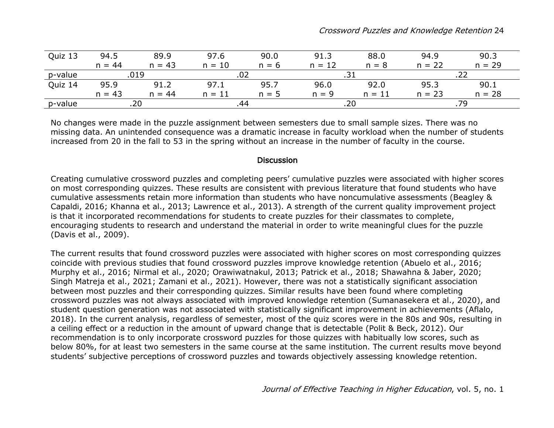| Quiz 13 | 94.5     | 89.9     | 97.6        | 90.0    | 91.3     | 88.0     | 94.9     | 90.3     |  |
|---------|----------|----------|-------------|---------|----------|----------|----------|----------|--|
|         | $n = 44$ | $n = 43$ | 10<br>$n =$ | $n = 6$ | $n = 12$ | $n = 8$  | $n = 22$ | $n = 29$ |  |
| p-value | .019     |          | . U 4       |         | .        |          |          |          |  |
| Quiz 14 | 95.9     | 91.2     | 97.1        | 95.7    | 96.0     | 92.0     | 95.3     | 90.1     |  |
|         | $n = 43$ | $n = 44$ | $n = 11$    | $n = 5$ | $n = 9$  | $n = 11$ | $n = 23$ | $n = 28$ |  |
| p-value | .20      |          |             |         | .20      |          |          |          |  |

No changes were made in the puzzle assignment between semesters due to small sample sizes. There was no missing data. An unintended consequence was a dramatic increase in faculty workload when the number of students increased from 20 in the fall to 53 in the spring without an increase in the number of faculty in the course.

## **Discussion**

Creating cumulative crossword puzzles and completing peers' cumulative puzzles were associated with higher scores on most corresponding quizzes. These results are consistent with previous literature that found students who have cumulative assessments retain more information than students who have noncumulative assessments (Beagley & Capaldi, 2016; Khanna et al., 2013; Lawrence et al., 2013). A strength of the current quality improvement project is that it incorporated recommendations for students to create puzzles for their classmates to complete, encouraging students to research and understand the material in order to write meaningful clues for the puzzle (Davis et al., 2009).

The current results that found crossword puzzles were associated with higher scores on most corresponding quizzes coincide with previous studies that found crossword puzzles improve knowledge retention (Abuelo et al., 2016; Murphy et al., 2016; Nirmal et al., 2020; Orawiwatnakul, 2013; Patrick et al., 2018; Shawahna & Jaber, 2020; Singh Matreja et al., 2021; Zamani et al., 2021). However, there was not a statistically significant association between most puzzles and their corresponding quizzes. Similar results have been found where completing crossword puzzles was not always associated with improved knowledge retention (Sumanasekera et al., 2020), and student question generation was not associated with statistically significant improvement in achievements (Aflalo, 2018). In the current analysis, regardless of semester, most of the quiz scores were in the 80s and 90s, resulting in a ceiling effect or a reduction in the amount of upward change that is detectable (Polit & Beck, 2012). Our recommendation is to only incorporate crossword puzzles for those quizzes with habitually low scores, such as below 80%, for at least two semesters in the same course at the same institution. The current results move beyond students' subjective perceptions of crossword puzzles and towards objectively assessing knowledge retention.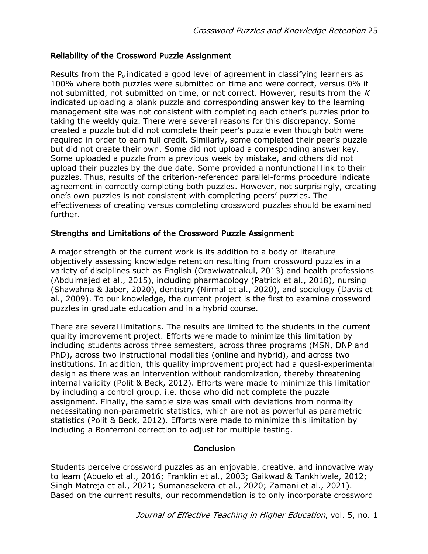## Reliability of the Crossword Puzzle Assignment

Results from the  $P<sub>o</sub>$  indicated a good level of agreement in classifying learners as 100% where both puzzles were submitted on time and were correct, versus 0% if not submitted, not submitted on time, or not correct. However, results from the  $K$ indicated uploading a blank puzzle and corresponding answer key to the learning management site was not consistent with completing each other's puzzles prior to taking the weekly quiz. There were several reasons for this discrepancy. Some created a puzzle but did not complete their peer's puzzle even though both were required in order to earn full credit. Similarly, some completed their peer's puzzle but did not create their own. Some did not upload a corresponding answer key. Some uploaded a puzzle from a previous week by mistake, and others did not upload their puzzles by the due date. Some provided a nonfunctional link to their puzzles. Thus, results of the criterion-referenced parallel-forms procedure indicate agreement in correctly completing both puzzles. However, not surprisingly, creating one's own puzzles is not consistent with completing peers' puzzles. The effectiveness of creating versus completing crossword puzzles should be examined further.

## Strengths and Limitations of the Crossword Puzzle Assignment

A major strength of the current work is its addition to a body of literature objectively assessing knowledge retention resulting from crossword puzzles in a variety of disciplines such as English (Orawiwatnakul, 2013) and health professions (Abdulmajed et al., 2015), including pharmacology (Patrick et al., 2018), nursing (Shawahna & Jaber, 2020), dentistry (Nirmal et al., 2020), and sociology (Davis et al., 2009). To our knowledge, the current project is the first to examine crossword puzzles in graduate education and in a hybrid course.

There are several limitations. The results are limited to the students in the current quality improvement project. Efforts were made to minimize this limitation by including students across three semesters, across three programs (MSN, DNP and PhD), across two instructional modalities (online and hybrid), and across two institutions. In addition, this quality improvement project had a quasi-experimental design as there was an intervention without randomization, thereby threatening internal validity (Polit & Beck, 2012). Efforts were made to minimize this limitation by including a control group, i.e. those who did not complete the puzzle assignment. Finally, the sample size was small with deviations from normality necessitating non-parametric statistics, which are not as powerful as parametric statistics (Polit & Beck, 2012). Efforts were made to minimize this limitation by including a Bonferroni correction to adjust for multiple testing.

## **Conclusion**

Students perceive crossword puzzles as an enjoyable, creative, and innovative way to learn (Abuelo et al., 2016; Franklin et al., 2003; Gaikwad & Tankhiwale, 2012; Singh Matreja et al., 2021; Sumanasekera et al., 2020; Zamani et al., 2021). Based on the current results, our recommendation is to only incorporate crossword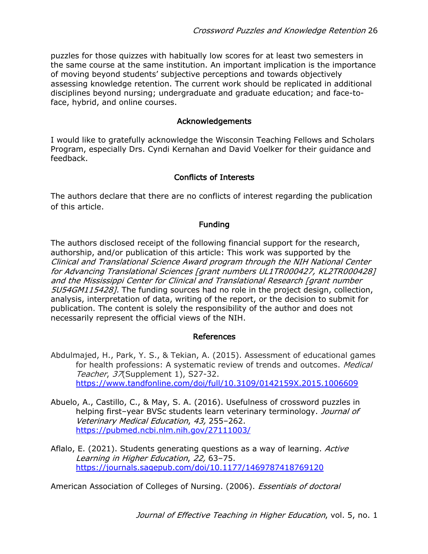puzzles for those quizzes with habitually low scores for at least two semesters in the same course at the same institution. An important implication is the importance of moving beyond students' subjective perceptions and towards objectively assessing knowledge retention. The current work should be replicated in additional disciplines beyond nursing; undergraduate and graduate education; and face-toface, hybrid, and online courses.

### Acknowledgements

I would like to gratefully acknowledge the Wisconsin Teaching Fellows and Scholars Program, especially Drs. Cyndi Kernahan and David Voelker for their guidance and feedback.

## Conflicts of Interests

The authors declare that there are no conflicts of interest regarding the publication of this article.

### Funding

The authors disclosed receipt of the following financial support for the research, authorship, and/or publication of this article: This work was supported by the Clinical and Translational Science Award program through the NIH National Center for Advancing Translational Sciences [grant numbers UL1TR000427, KL2TR000428] and the Mississippi Center for Clinical and Translational Research [grant number 5U54GM115428]. The funding sources had no role in the project design, collection, analysis, interpretation of data, writing of the report, or the decision to submit for publication. The content is solely the responsibility of the author and does not necessarily represent the official views of the NIH.

#### References

- Abdulmajed, H., Park, Y. S., & Tekian, A. (2015). Assessment of educational games for health professions: A systematic review of trends and outcomes. *Medical* Teacher, 37(Supplement 1), S27-32. https://www.tandfonline.com/doi/full/10.3109/0142159X.2015.1006609
- Abuelo, A., Castillo, C., & May, S. A. (2016). Usefulness of crossword puzzles in helping first-year BVSc students learn veterinary terminology. Journal of Veterinary Medical Education, 43, 255–262. https://pubmed.ncbi.nlm.nih.gov/27111003/
- Aflalo, E. (2021). Students generating questions as a way of learning. Active Learning in Higher Education, 22, 63–75. https://journals.sagepub.com/doi/10.1177/1469787418769120

American Association of Colleges of Nursing. (2006). *Essentials of doctoral*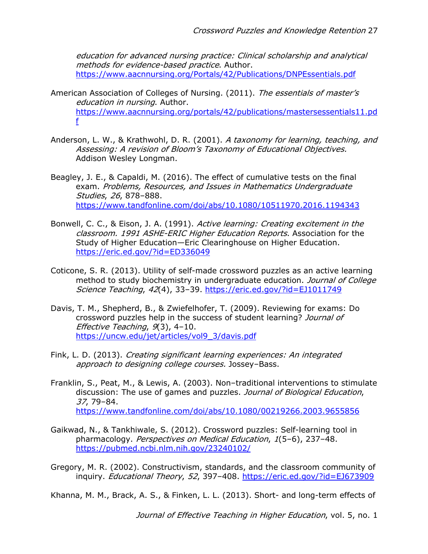education for advanced nursing practice: Clinical scholarship and analytical methods for evidence-based practice. Author. https://www.aacnnursing.org/Portals/42/Publications/DNPEssentials.pdf

- American Association of Colleges of Nursing. (2011). The essentials of master's education in nursing. Author. https://www.aacnnursing.org/portals/42/publications/mastersessentials11.pd f
- Anderson, L. W., & Krathwohl, D. R. (2001). A taxonomy for learning, teaching, and Assessing: A revision of Bloom's Taxonomy of Educational Objectives. Addison Wesley Longman.
- Beagley, J. E., & Capaldi, M. (2016). The effect of cumulative tests on the final exam. Problems, Resources, and Issues in Mathematics Undergraduate Studies, 26, 878–888. https://www.tandfonline.com/doi/abs/10.1080/10511970.2016.1194343
- Bonwell, C. C., & Eison, J. A. (1991). Active learning: Creating excitement in the classroom. 1991 ASHE-ERIC Higher Education Reports. Association for the Study of Higher Education—Eric Clearinghouse on Higher Education. https://eric.ed.gov/?id=ED336049
- Coticone, S. R. (2013). Utility of self-made crossword puzzles as an active learning method to study biochemistry in undergraduate education. Journal of College Science Teaching, 42(4), 33–39. https://eric.ed.gov/?id=EJ1011749
- Davis, T. M., Shepherd, B., & Zwiefelhofer, T. (2009). Reviewing for exams: Do crossword puzzles help in the success of student learning? Journal of Effective Teaching, 9(3), 4–10. https://uncw.edu/jet/articles/vol9\_3/davis.pdf
- Fink, L. D. (2013). Creating significant learning experiences: An integrated approach to designing college courses. Jossey-Bass.
- Franklin, S., Peat, M., & Lewis, A. (2003). Non–traditional interventions to stimulate discussion: The use of games and puzzles. Journal of Biological Education, 37, 79–84. https://www.tandfonline.com/doi/abs/10.1080/00219266.2003.9655856
- Gaikwad, N., & Tankhiwale, S. (2012). Crossword puzzles: Self-learning tool in pharmacology. Perspectives on Medical Education, 1(5–6), 237–48. https://pubmed.ncbi.nlm.nih.gov/23240102/
- Gregory, M. R. (2002). Constructivism, standards, and the classroom community of inquiry. Educational Theory, 52, 397-408. https://eric.ed.gov/?id=EJ673909

Khanna, M. M., Brack, A. S., & Finken, L. L. (2013). Short- and long-term effects of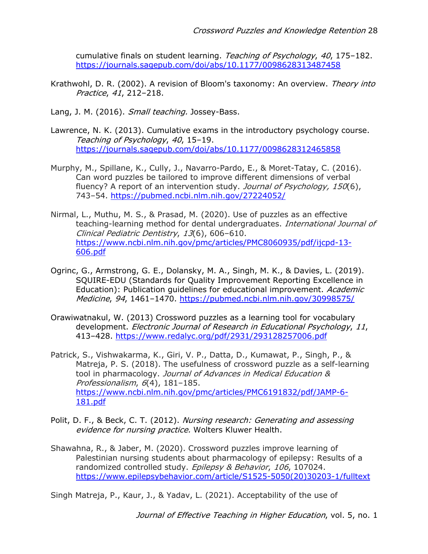cumulative finals on student learning. Teaching of Psychology, 40, 175-182. https://journals.sagepub.com/doi/abs/10.1177/0098628313487458

- Krathwohl, D. R. (2002). A revision of Bloom's taxonomy: An overview. Theory into Practice, 41, 212–218.
- Lang, J. M. (2016). Small teaching. Jossey-Bass.
- Lawrence, N. K. (2013). Cumulative exams in the introductory psychology course. Teaching of Psychology, 40, 15–19. https://journals.sagepub.com/doi/abs/10.1177/0098628312465858
- Murphy, M., Spillane, K., Cully, J., Navarro-Pardo, E., & Moret-Tatay, C. (2016). Can word puzzles be tailored to improve different dimensions of verbal fluency? A report of an intervention study. *Journal of Psychology, 150*(6), 743–54. https://pubmed.ncbi.nlm.nih.gov/27224052/
- Nirmal, L., Muthu, M. S., & Prasad, M. (2020). Use of puzzles as an effective teaching-learning method for dental undergraduates. International Journal of Clinical Pediatric Dentistry, 13(6), 606–610. https://www.ncbi.nlm.nih.gov/pmc/articles/PMC8060935/pdf/ijcpd-13- 606.pdf
- Ogrinc, G., Armstrong, G. E., Dolansky, M. A., Singh, M. K., & Davies, L. (2019). SQUIRE-EDU (Standards for Quality Improvement Reporting Excellence in Education): Publication quidelines for educational improvement. Academic Medicine, 94, 1461–1470. https://pubmed.ncbi.nlm.nih.gov/30998575/
- Orawiwatnakul, W. (2013) Crossword puzzles as a learning tool for vocabulary development. Electronic Journal of Research in Educational Psychology, 11, 413–428. https://www.redalyc.org/pdf/2931/293128257006.pdf
- Patrick, S., Vishwakarma, K., Giri, V. P., Datta, D., Kumawat, P., Singh, P., & Matreja, P. S. (2018). The usefulness of crossword puzzle as a self-learning tool in pharmacology. Journal of Advances in Medical Education & Professionalism, 6(4), 181-185. https://www.ncbi.nlm.nih.gov/pmc/articles/PMC6191832/pdf/JAMP-6- 181.pdf
- Polit, D. F., & Beck, C. T. (2012). Nursing research: Generating and assessing evidence for nursing practice. Wolters Kluwer Health.
- Shawahna, R., & Jaber, M. (2020). Crossword puzzles improve learning of Palestinian nursing students about pharmacology of epilepsy: Results of a randomized controlled study. Epilepsy & Behavior, 106, 107024. https://www.epilepsybehavior.com/article/S1525-5050(20)30203-1/fulltext

Singh Matreja, P., Kaur, J., & Yadav, L. (2021). Acceptability of the use of